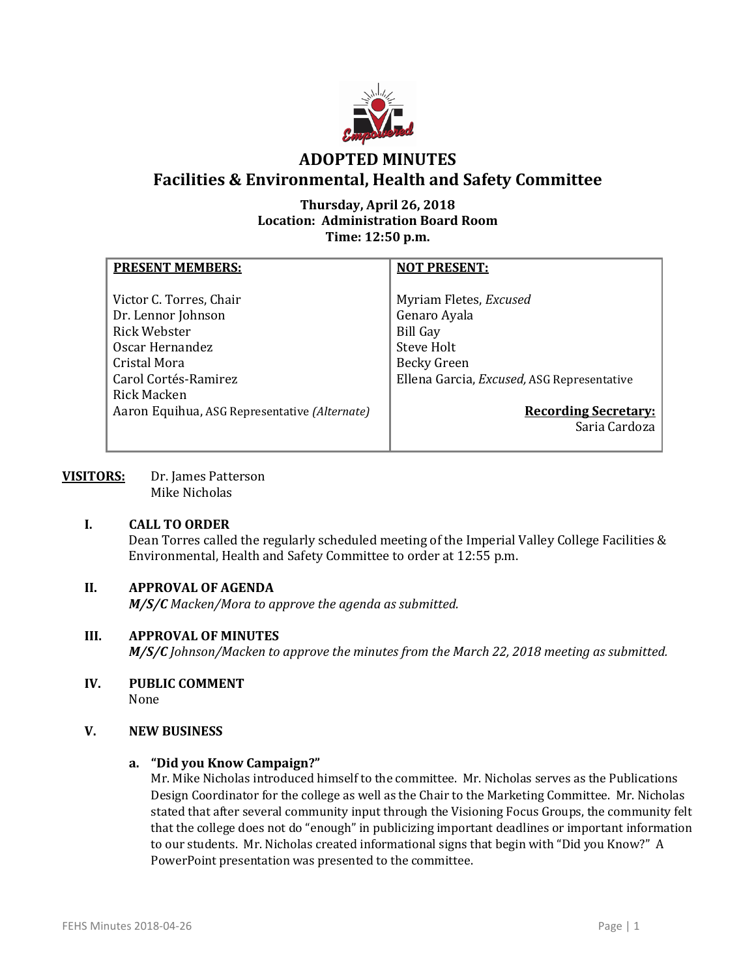

# **ADOPTED MINUTES Facilities & Environmental, Health and Safety Committee**

# **Thursday, April 26, 2018 Location: Administration Board Room Time: 12:50 p.m.**

| <b>PRESENT MEMBERS:</b>                                                                                                                                                                  | <b>NOT PRESENT:</b>                                                                                                                                                                         |
|------------------------------------------------------------------------------------------------------------------------------------------------------------------------------------------|---------------------------------------------------------------------------------------------------------------------------------------------------------------------------------------------|
| Victor C. Torres, Chair<br>Dr. Lennor Johnson<br>Rick Webster<br>Oscar Hernandez<br>Cristal Mora<br>Carol Cortés-Ramirez<br>Rick Macken<br>Aaron Equihua, ASG Representative (Alternate) | Myriam Fletes, Excused<br>Genaro Ayala<br><b>Bill Gay</b><br>Steve Holt<br><b>Becky Green</b><br>Ellena Garcia, Excused, ASG Representative<br><b>Recording Secretary:</b><br>Saria Cardoza |
|                                                                                                                                                                                          |                                                                                                                                                                                             |

**VISITORS:** Dr. James Patterson Mike Nicholas

#### **I. CALL TO ORDER**

Dean Torres called the regularly scheduled meeting of the Imperial Valley College Facilities & Environmental, Health and Safety Committee to order at 12:55 p.m.

# **II. APPROVAL OF AGENDA**

*M/S/C Macken/Mora to approve the agenda as submitted.*

#### **III. APPROVAL OF MINUTES**

*M/S/C Johnson/Macken to approve the minutes from the March 22, 2018 meeting as submitted.*

#### **IV. PUBLIC COMMENT** None

#### **V. NEW BUSINESS**

#### **a. "Did you Know Campaign?"**

Mr. Mike Nicholas introduced himself to the committee. Mr. Nicholas serves as the Publications Design Coordinator for the college as well as the Chair to the Marketing Committee. Mr. Nicholas stated that after several community input through the Visioning Focus Groups, the community felt that the college does not do "enough" in publicizing important deadlines or important information to our students. Mr. Nicholas created informational signs that begin with "Did you Know?" A PowerPoint presentation was presented to the committee.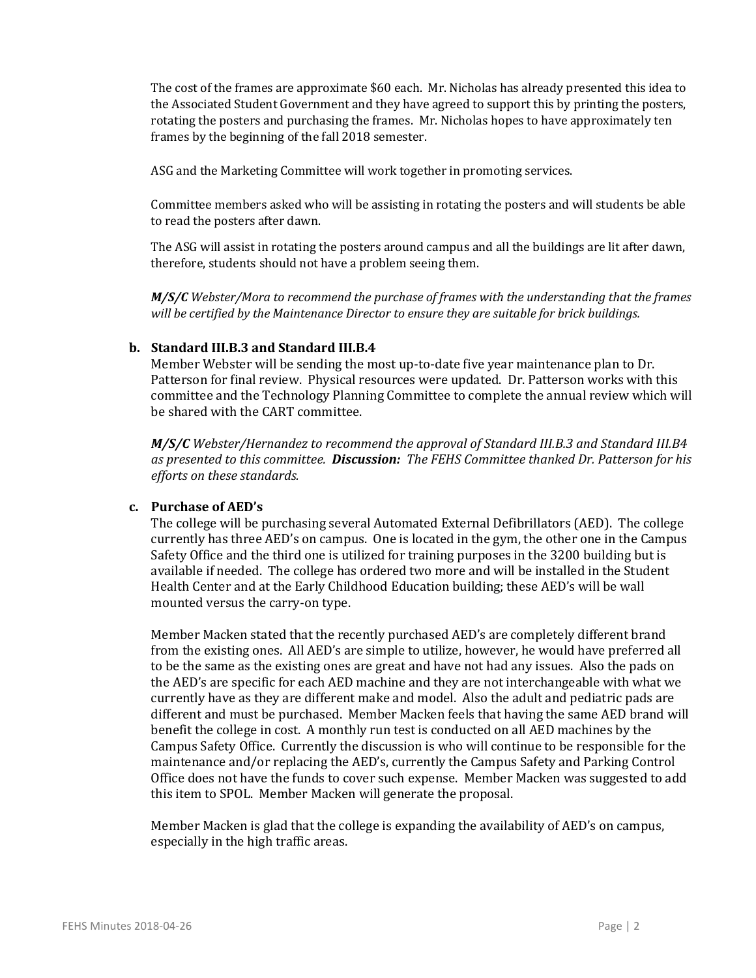The cost of the frames are approximate \$60 each. Mr. Nicholas has already presented this idea to the Associated Student Government and they have agreed to support this by printing the posters, rotating the posters and purchasing the frames. Mr. Nicholas hopes to have approximately ten frames by the beginning of the fall 2018 semester.

ASG and the Marketing Committee will work together in promoting services.

Committee members asked who will be assisting in rotating the posters and will students be able to read the posters after dawn.

The ASG will assist in rotating the posters around campus and all the buildings are lit after dawn, therefore, students should not have a problem seeing them.

*M/S/C Webster/Mora to recommend the purchase of frames with the understanding that the frames will be certified by the Maintenance Director to ensure they are suitable for brick buildings.*

#### **b. Standard III.B.3 and Standard III.B.4**

Member Webster will be sending the most up-to-date five year maintenance plan to Dr. Patterson for final review. Physical resources were updated. Dr. Patterson works with this committee and the Technology Planning Committee to complete the annual review which will be shared with the CART committee.

*M/S/C Webster/Hernandez to recommend the approval of Standard III.B.3 and Standard III.B4 as presented to this committee. Discussion: The FEHS Committee thanked Dr. Patterson for his efforts on these standards.*

#### **c. Purchase of AED's**

The college will be purchasing several Automated External Defibrillators (AED). The college currently has three AED's on campus. One is located in the gym, the other one in the Campus Safety Office and the third one is utilized for training purposes in the 3200 building but is available if needed. The college has ordered two more and will be installed in the Student Health Center and at the Early Childhood Education building; these AED's will be wall mounted versus the carry-on type.

Member Macken stated that the recently purchased AED's are completely different brand from the existing ones. All AED's are simple to utilize, however, he would have preferred all to be the same as the existing ones are great and have not had any issues. Also the pads on the AED's are specific for each AED machine and they are not interchangeable with what we currently have as they are different make and model. Also the adult and pediatric pads are different and must be purchased. Member Macken feels that having the same AED brand will benefit the college in cost. A monthly run test is conducted on all AED machines by the Campus Safety Office. Currently the discussion is who will continue to be responsible for the maintenance and/or replacing the AED's, currently the Campus Safety and Parking Control Office does not have the funds to cover such expense. Member Macken was suggested to add this item to SPOL. Member Macken will generate the proposal.

Member Macken is glad that the college is expanding the availability of AED's on campus, especially in the high traffic areas.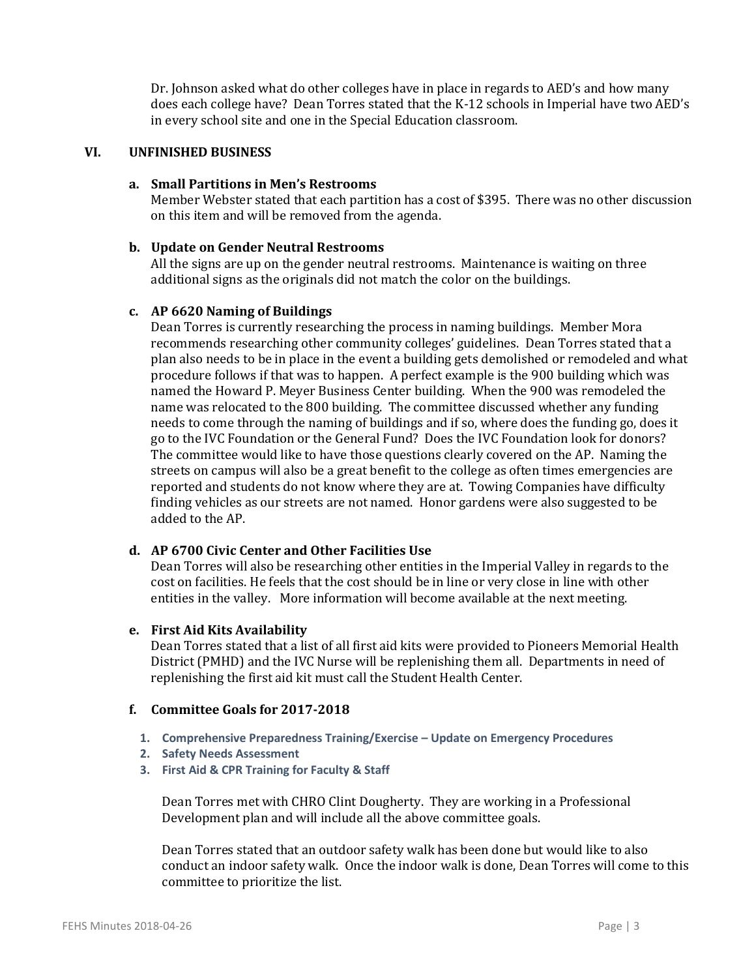Dr. Johnson asked what do other colleges have in place in regards to AED's and how many does each college have? Dean Torres stated that the K-12 schools in Imperial have two AED's in every school site and one in the Special Education classroom.

#### **VI. UNFINISHED BUSINESS**

#### **a. Small Partitions in Men's Restrooms**

Member Webster stated that each partition has a cost of \$395. There was no other discussion on this item and will be removed from the agenda.

#### **b. Update on Gender Neutral Restrooms**

All the signs are up on the gender neutral restrooms. Maintenance is waiting on three additional signs as the originals did not match the color on the buildings.

#### **c. AP 6620 Naming of Buildings**

Dean Torres is currently researching the process in naming buildings. Member Mora recommends researching other community colleges' guidelines. Dean Torres stated that a plan also needs to be in place in the event a building gets demolished or remodeled and what procedure follows if that was to happen. A perfect example is the 900 building which was named the Howard P. Meyer Business Center building. When the 900 was remodeled the name was relocated to the 800 building. The committee discussed whether any funding needs to come through the naming of buildings and if so, where does the funding go, does it go to the IVC Foundation or the General Fund? Does the IVC Foundation look for donors? The committee would like to have those questions clearly covered on the AP. Naming the streets on campus will also be a great benefit to the college as often times emergencies are reported and students do not know where they are at. Towing Companies have difficulty finding vehicles as our streets are not named. Honor gardens were also suggested to be added to the AP.

### **d. AP 6700 Civic Center and Other Facilities Use**

Dean Torres will also be researching other entities in the Imperial Valley in regards to the cost on facilities. He feels that the cost should be in line or very close in line with other entities in the valley. More information will become available at the next meeting.

#### **e. First Aid Kits Availability**

Dean Torres stated that a list of all first aid kits were provided to Pioneers Memorial Health District (PMHD) and the IVC Nurse will be replenishing them all. Departments in need of replenishing the first aid kit must call the Student Health Center.

#### **f. Committee Goals for 2017-2018**

- **1. Comprehensive Preparedness Training/Exercise – Update on Emergency Procedures**
- **2. Safety Needs Assessment**
- **3. First Aid & CPR Training for Faculty & Staff**

Dean Torres met with CHRO Clint Dougherty. They are working in a Professional Development plan and will include all the above committee goals.

Dean Torres stated that an outdoor safety walk has been done but would like to also conduct an indoor safety walk. Once the indoor walk is done, Dean Torres will come to this committee to prioritize the list.